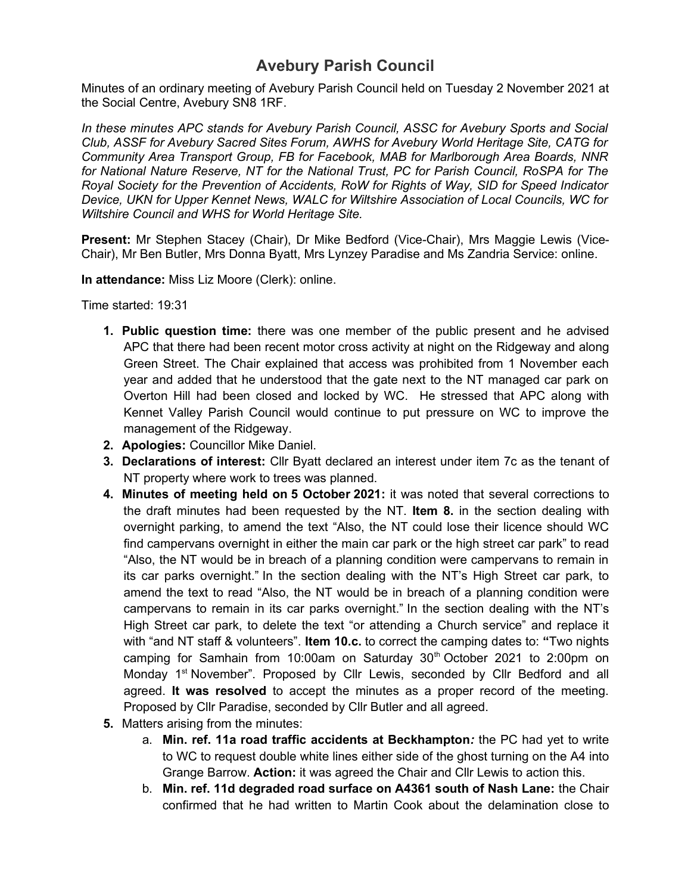Minutes of an ordinary meeting of Avebury Parish Council held on Tuesday 2 November 2021 at the Social Centre, Avebury SN8 1RF.

*In these minutes APC stands for Avebury Parish Council, ASSC for Avebury Sports and Social Club, ASSF for Avebury Sacred Sites Forum, AWHS for Avebury World Heritage Site, CATG for Community Area Transport Group, FB for Facebook, MAB for Marlborough Area Boards, NNR for National Nature Reserve, NT for the National Trust, PC for Parish Council, RoSPA for The Royal Society for the Prevention of Accidents, RoW for Rights of Way, SID for Speed Indicator Device, UKN for Upper Kennet News, WALC for Wiltshire Association of Local Councils, WC for Wiltshire Council and WHS for World Heritage Site.*

**Present:** Mr Stephen Stacey (Chair), Dr Mike Bedford (Vice-Chair), Mrs Maggie Lewis (Vice-Chair), Mr Ben Butler, Mrs Donna Byatt, Mrs Lynzey Paradise and Ms Zandria Service: online.

**In attendance:** Miss Liz Moore (Clerk): online.

Time started: 19:31

- **1. Public question time:** there was one member of the public present and he advised APC that there had been recent motor cross activity at night on the Ridgeway and along Green Street. The Chair explained that access was prohibited from 1 November each year and added that he understood that the gate next to the NT managed car park on Overton Hill had been closed and locked by WC. He stressed that APC along with Kennet Valley Parish Council would continue to put pressure on WC to improve the management of the Ridgeway.
- **2. Apologies:** Councillor Mike Daniel.
- **3. Declarations of interest:** Cllr Byatt declared an interest under item 7c as the tenant of NT property where work to trees was planned.
- **4. Minutes of meeting held on 5 October 2021:** it was noted that several corrections to the draft minutes had been requested by the NT. **Item 8.** in the section dealing with overnight parking, to amend the text "Also, the NT could lose their licence should WC find campervans overnight in either the main car park or the high street car park" to read "Also, the NT would be in breach of a planning condition were campervans to remain in its car parks overnight." In the section dealing with the NT's High Street car park, to amend the text to read "Also, the NT would be in breach of a planning condition were campervans to remain in its car parks overnight." In the section dealing with the NT's High Street car park, to delete the text "or attending a Church service" and replace it with "and NT staff & volunteers". **Item 10.c.** to correct the camping dates to: **"**Two nights camping for Samhain from 10:00am on Saturday  $30<sup>th</sup>$  October 2021 to 2:00pm on Monday 1<sup>st</sup> November". Proposed by Cllr Lewis, seconded by Cllr Bedford and all agreed. **It was resolved** to accept the minutes as a proper record of the meeting. Proposed by Cllr Paradise, seconded by Cllr Butler and all agreed.
- **5.** Matters arising from the minutes:
	- a. **Min. ref. 11a road traffic accidents at Beckhampton***:* the PC had yet to write to WC to request double white lines either side of the ghost turning on the A4 into Grange Barrow. **Action:** it was agreed the Chair and Cllr Lewis to action this.
	- b. **Min. ref. 11d degraded road surface on A4361 south of Nash Lane:** the Chair confirmed that he had written to Martin Cook about the delamination close to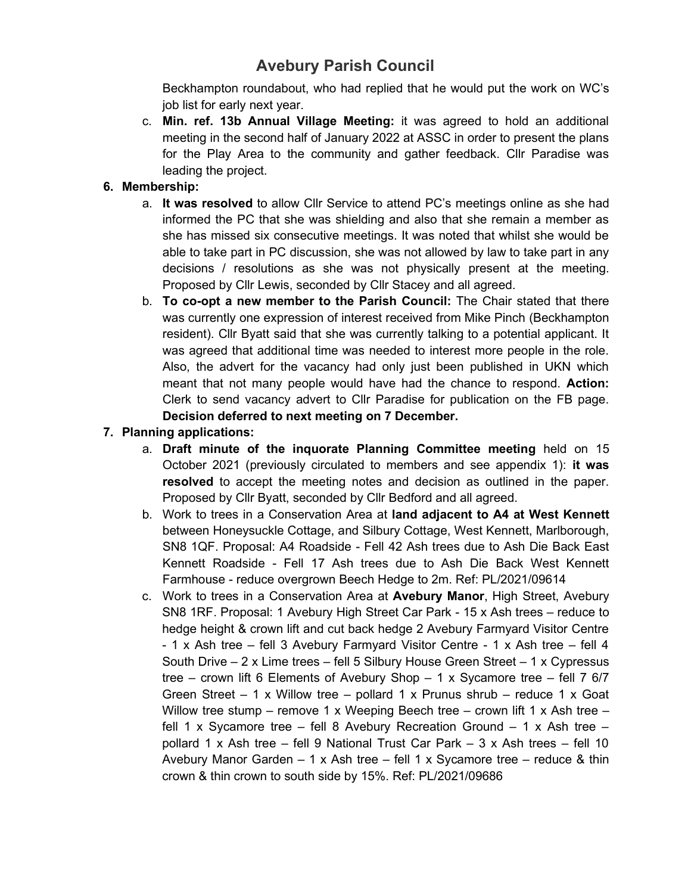Beckhampton roundabout, who had replied that he would put the work on WC's job list for early next year.

c. **Min. ref. 13b Annual Village Meeting:** it was agreed to hold an additional meeting in the second half of January 2022 at ASSC in order to present the plans for the Play Area to the community and gather feedback. Cllr Paradise was leading the project.

#### **6. Membership:**

- a. **It was resolved** to allow Cllr Service to attend PC's meetings online as she had informed the PC that she was shielding and also that she remain a member as she has missed six consecutive meetings. It was noted that whilst she would be able to take part in PC discussion, she was not allowed by law to take part in any decisions / resolutions as she was not physically present at the meeting. Proposed by Cllr Lewis, seconded by Cllr Stacey and all agreed.
- b. **To co-opt a new member to the Parish Council:** The Chair stated that there was currently one expression of interest received from Mike Pinch (Beckhampton resident). Cllr Byatt said that she was currently talking to a potential applicant. It was agreed that additional time was needed to interest more people in the role. Also, the advert for the vacancy had only just been published in UKN which meant that not many people would have had the chance to respond. **Action:** Clerk to send vacancy advert to Cllr Paradise for publication on the FB page. **Decision deferred to next meeting on 7 December.**

#### **7. Planning applications:**

- a. **Draft minute of the inquorate Planning Committee meeting** held on 15 October 2021 (previously circulated to members and see appendix 1): **it was resolved** to accept the meeting notes and decision as outlined in the paper. Proposed by Cllr Byatt, seconded by Cllr Bedford and all agreed.
- b. Work to trees in a Conservation Area at **land adjacent to A4 at West Kennett** between Honeysuckle Cottage, and Silbury Cottage, West Kennett, Marlborough, SN8 1QF. Proposal: A4 Roadside - Fell 42 Ash trees due to Ash Die Back East Kennett Roadside - Fell 17 Ash trees due to Ash Die Back West Kennett Farmhouse - reduce overgrown Beech Hedge to 2m. Ref: PL/2021/09614
- c. Work to trees in a Conservation Area at **Avebury Manor**, High Street, Avebury SN8 1RF. Proposal: 1 Avebury High Street Car Park - 15 x Ash trees – reduce to hedge height & crown lift and cut back hedge 2 Avebury Farmyard Visitor Centre - 1 x Ash tree – fell 3 Avebury Farmyard Visitor Centre - 1 x Ash tree – fell 4 South Drive – 2 x Lime trees – fell 5 Silbury House Green Street – 1 x Cypressus tree – crown lift 6 Elements of Avebury Shop – 1 x Sycamore tree – fell 7 6/7 Green Street  $-1 \times$  Willow tree  $-$  pollard 1 x Prunus shrub  $-$  reduce 1 x Goat Willow tree stump – remove 1 x Weeping Beech tree – crown lift 1 x Ash tree – fell 1 x Sycamore tree – fell 8 Avebury Recreation Ground – 1 x Ash tree – pollard 1 x Ash tree – fell 9 National Trust Car Park – 3 x Ash trees – fell 10 Avebury Manor Garden – 1 x Ash tree – fell 1 x Sycamore tree – reduce & thin crown & thin crown to south side by 15%. Ref: PL/2021/09686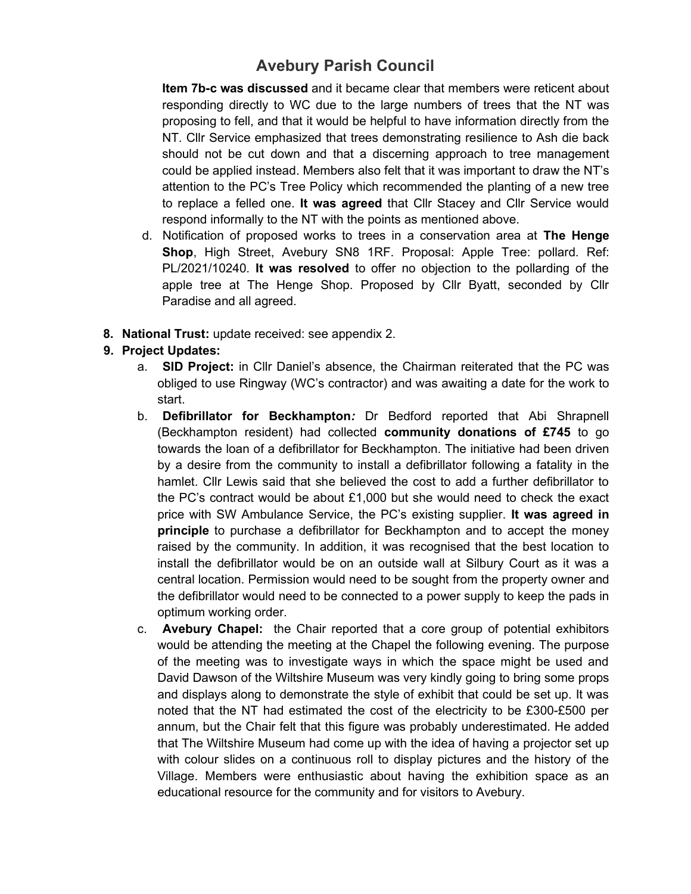**Item 7b-c was discussed** and it became clear that members were reticent about responding directly to WC due to the large numbers of trees that the NT was proposing to fell, and that it would be helpful to have information directly from the NT. Cllr Service emphasized that trees demonstrating resilience to Ash die back should not be cut down and that a discerning approach to tree management could be applied instead. Members also felt that it was important to draw the NT's attention to the PC's Tree Policy which recommended the planting of a new tree to replace a felled one. **It was agreed** that Cllr Stacey and Cllr Service would respond informally to the NT with the points as mentioned above.

- d. Notification of proposed works to trees in a conservation area at **The Henge Shop**, High Street, Avebury SN8 1RF. Proposal: Apple Tree: pollard. Ref: PL/2021/10240. **It was resolved** to offer no objection to the pollarding of the apple tree at The Henge Shop. Proposed by Cllr Byatt, seconded by Cllr Paradise and all agreed.
- **8. National Trust:** update received: see appendix 2.

### **9. Project Updates:**

- a. **SID Project:** in Cllr Daniel's absence, the Chairman reiterated that the PC was obliged to use Ringway (WC's contractor) and was awaiting a date for the work to start.
- b. **Defibrillator for Beckhampton***:* Dr Bedford reported that Abi Shrapnell (Beckhampton resident) had collected **community donations of £745** to go towards the loan of a defibrillator for Beckhampton. The initiative had been driven by a desire from the community to install a defibrillator following a fatality in the hamlet. Cllr Lewis said that she believed the cost to add a further defibrillator to the PC's contract would be about £1,000 but she would need to check the exact price with SW Ambulance Service, the PC's existing supplier. **It was agreed in principle** to purchase a defibrillator for Beckhampton and to accept the money raised by the community. In addition, it was recognised that the best location to install the defibrillator would be on an outside wall at Silbury Court as it was a central location. Permission would need to be sought from the property owner and the defibrillator would need to be connected to a power supply to keep the pads in optimum working order.
- c. **Avebury Chapel:** the Chair reported that a core group of potential exhibitors would be attending the meeting at the Chapel the following evening. The purpose of the meeting was to investigate ways in which the space might be used and David Dawson of the Wiltshire Museum was very kindly going to bring some props and displays along to demonstrate the style of exhibit that could be set up. It was noted that the NT had estimated the cost of the electricity to be £300-£500 per annum, but the Chair felt that this figure was probably underestimated. He added that The Wiltshire Museum had come up with the idea of having a projector set up with colour slides on a continuous roll to display pictures and the history of the Village. Members were enthusiastic about having the exhibition space as an educational resource for the community and for visitors to Avebury.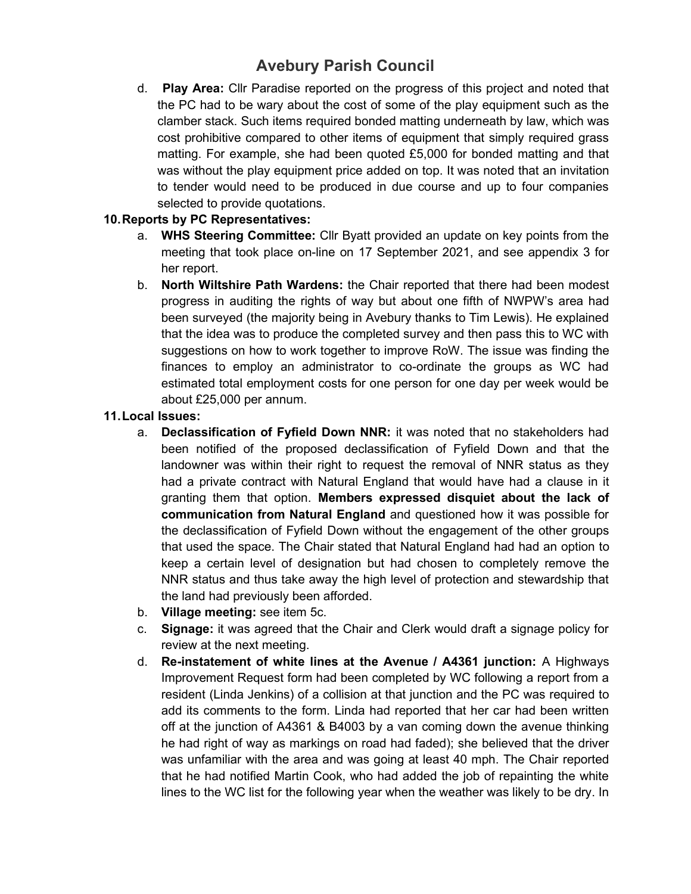d. **Play Area:** Cllr Paradise reported on the progress of this project and noted that the PC had to be wary about the cost of some of the play equipment such as the clamber stack. Such items required bonded matting underneath by law, which was cost prohibitive compared to other items of equipment that simply required grass matting. For example, she had been quoted £5,000 for bonded matting and that was without the play equipment price added on top. It was noted that an invitation to tender would need to be produced in due course and up to four companies selected to provide quotations.

#### **10.Reports by PC Representatives:**

- a. **WHS Steering Committee:** Cllr Byatt provided an update on key points from the meeting that took place on-line on 17 September 2021, and see appendix 3 for her report.
- b. **North Wiltshire Path Wardens:** the Chair reported that there had been modest progress in auditing the rights of way but about one fifth of NWPW's area had been surveyed (the majority being in Avebury thanks to Tim Lewis). He explained that the idea was to produce the completed survey and then pass this to WC with suggestions on how to work together to improve RoW. The issue was finding the finances to employ an administrator to co-ordinate the groups as WC had estimated total employment costs for one person for one day per week would be about £25,000 per annum.

#### **11.Local Issues:**

- a. **Declassification of Fyfield Down NNR:** it was noted that no stakeholders had been notified of the proposed declassification of Fyfield Down and that the landowner was within their right to request the removal of NNR status as they had a private contract with Natural England that would have had a clause in it granting them that option. **Members expressed disquiet about the lack of communication from Natural England** and questioned how it was possible for the declassification of Fyfield Down without the engagement of the other groups that used the space. The Chair stated that Natural England had had an option to keep a certain level of designation but had chosen to completely remove the NNR status and thus take away the high level of protection and stewardship that the land had previously been afforded.
- b. **Village meeting:** see item 5c.
- c. **Signage:** it was agreed that the Chair and Clerk would draft a signage policy for review at the next meeting.
- d. **Re-instatement of white lines at the Avenue / A4361 junction:** A Highways Improvement Request form had been completed by WC following a report from a resident (Linda Jenkins) of a collision at that junction and the PC was required to add its comments to the form. Linda had reported that her car had been written off at the junction of A4361 & B4003 by a van coming down the avenue thinking he had right of way as markings on road had faded); she believed that the driver was unfamiliar with the area and was going at least 40 mph. The Chair reported that he had notified Martin Cook, who had added the job of repainting the white lines to the WC list for the following year when the weather was likely to be dry. In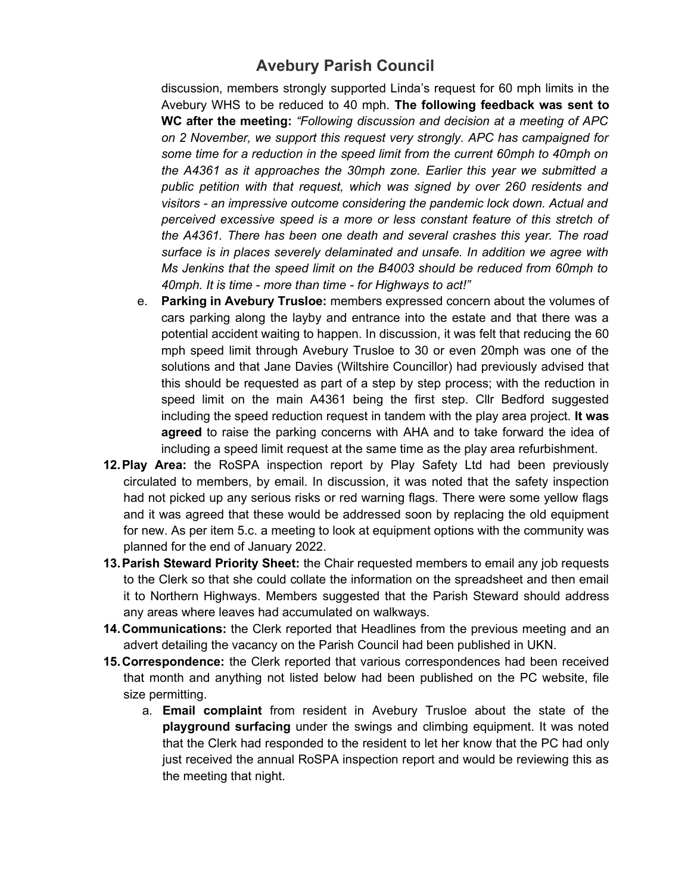discussion, members strongly supported Linda's request for 60 mph limits in the Avebury WHS to be reduced to 40 mph. **The following feedback was sent to WC after the meeting:** *"Following discussion and decision at a meeting of APC on 2 November, we support this request very strongly. APC has campaigned for some time for a reduction in the speed limit from the current 60mph to 40mph on the A4361 as it approaches the 30mph zone. Earlier this year we submitted a public petition with that request, which was signed by over 260 residents and visitors - an impressive outcome considering the pandemic lock down. Actual and perceived excessive speed is a more or less constant feature of this stretch of the A4361. There has been one death and several crashes this year. The road surface is in places severely delaminated and unsafe. In addition we agree with Ms Jenkins that the speed limit on the B4003 should be reduced from 60mph to 40mph. It is time - more than time - for Highways to act!"*

- e. **Parking in Avebury Trusloe:** members expressed concern about the volumes of cars parking along the layby and entrance into the estate and that there was a potential accident waiting to happen. In discussion, it was felt that reducing the 60 mph speed limit through Avebury Trusloe to 30 or even 20mph was one of the solutions and that Jane Davies (Wiltshire Councillor) had previously advised that this should be requested as part of a step by step process; with the reduction in speed limit on the main A4361 being the first step. Cllr Bedford suggested including the speed reduction request in tandem with the play area project. **It was agreed** to raise the parking concerns with AHA and to take forward the idea of including a speed limit request at the same time as the play area refurbishment.
- **12.Play Area:** the RoSPA inspection report by Play Safety Ltd had been previously circulated to members, by email. In discussion, it was noted that the safety inspection had not picked up any serious risks or red warning flags. There were some yellow flags and it was agreed that these would be addressed soon by replacing the old equipment for new. As per item 5.c. a meeting to look at equipment options with the community was planned for the end of January 2022.
- **13.Parish Steward Priority Sheet:** the Chair requested members to email any job requests to the Clerk so that she could collate the information on the spreadsheet and then email it to Northern Highways. Members suggested that the Parish Steward should address any areas where leaves had accumulated on walkways.
- **14.Communications:** the Clerk reported that Headlines from the previous meeting and an advert detailing the vacancy on the Parish Council had been published in UKN.
- **15.Correspondence:** the Clerk reported that various correspondences had been received that month and anything not listed below had been published on the PC website, file size permitting.
	- a. **Email complaint** from resident in Avebury Trusloe about the state of the **playground surfacing** under the swings and climbing equipment. It was noted that the Clerk had responded to the resident to let her know that the PC had only just received the annual RoSPA inspection report and would be reviewing this as the meeting that night.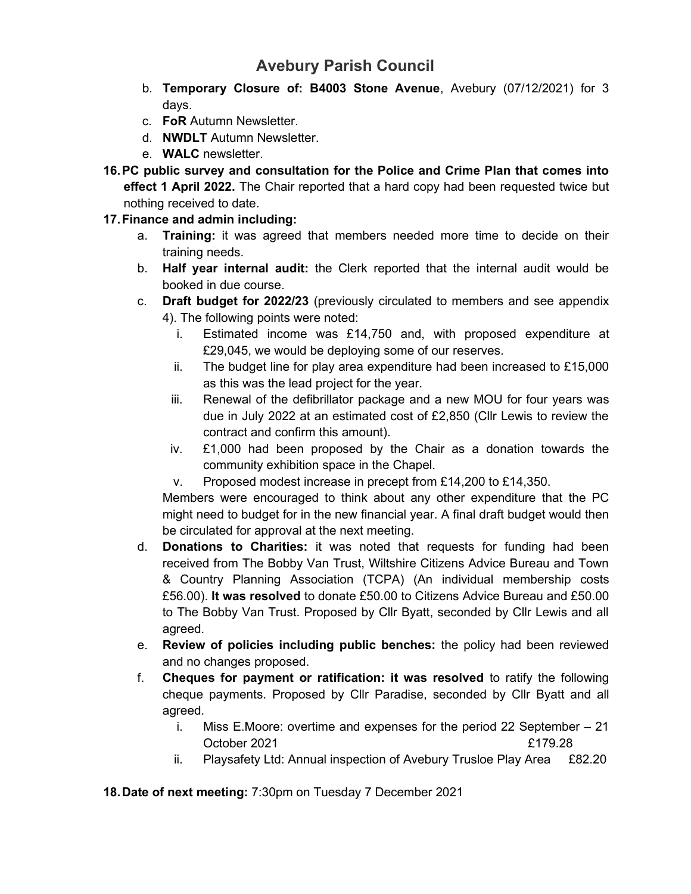- b. **Temporary Closure of: B4003 Stone Avenue**, Avebury (07/12/2021) for 3 days.
- c. **FoR** Autumn Newsletter.
- d. **NWDLT** Autumn Newsletter.
- e. **WALC** newsletter.
- **16.PC public survey and consultation for the Police and Crime Plan that comes into effect 1 April 2022.** The Chair reported that a hard copy had been requested twice but nothing received to date.
- **17.Finance and admin including:**
	- a. **Training:** it was agreed that members needed more time to decide on their training needs.
	- b. **Half year internal audit:** the Clerk reported that the internal audit would be booked in due course.
	- c. **Draft budget for 2022/23** (previously circulated to members and see appendix 4). The following points were noted:
		- i. Estimated income was £14,750 and, with proposed expenditure at £29,045, we would be deploying some of our reserves.
		- ii. The budget line for play area expenditure had been increased to £15,000 as this was the lead project for the year.
		- iii. Renewal of the defibrillator package and a new MOU for four years was due in July 2022 at an estimated cost of £2,850 (Cllr Lewis to review the contract and confirm this amount).
		- iv. £1,000 had been proposed by the Chair as a donation towards the community exhibition space in the Chapel.
		- v. Proposed modest increase in precept from £14,200 to £14,350.

Members were encouraged to think about any other expenditure that the PC might need to budget for in the new financial year. A final draft budget would then be circulated for approval at the next meeting.

- d. **Donations to Charities:** it was noted that requests for funding had been received from The Bobby Van Trust, Wiltshire Citizens Advice Bureau and Town & Country Planning Association (TCPA) (An individual membership costs £56.00). **It was resolved** to donate £50.00 to Citizens Advice Bureau and £50.00 to The Bobby Van Trust. Proposed by Cllr Byatt, seconded by Cllr Lewis and all agreed.
- e. **Review of policies including public benches:** the policy had been reviewed and no changes proposed.
- f. **Cheques for payment or ratification: it was resolved** to ratify the following cheque payments. Proposed by Cllr Paradise, seconded by Cllr Byatt and all agreed.
	- i. Miss E.Moore: overtime and expenses for the period 22 September 21 October 2021 **E179.28**
	- ii. Playsafety Ltd: Annual inspection of Avebury Trusloe Play Area £82.20

**18.Date of next meeting:** 7:30pm on Tuesday 7 December 2021